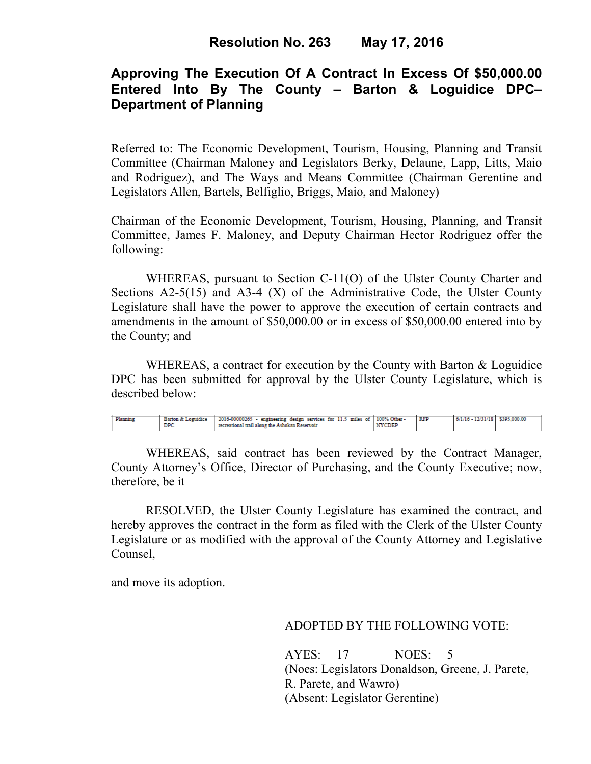# **Approving The Execution Of A Contract In Excess Of \$50,000.00 Entered Into By The County – Barton & Loguidice DPC– Department of Planning**

Referred to: The Economic Development, Tourism, Housing, Planning and Transit Committee (Chairman Maloney and Legislators Berky, Delaune, Lapp, Litts, Maio and Rodriguez), and The Ways and Means Committee (Chairman Gerentine and Legislators Allen, Bartels, Belfiglio, Briggs, Maio, and Maloney)

Chairman of the Economic Development, Tourism, Housing, Planning, and Transit Committee, James F. Maloney, and Deputy Chairman Hector Rodriguez offer the following:

WHEREAS, pursuant to Section C-11(O) of the Ulster County Charter and Sections  $A2-5(15)$  and  $A3-4(X)$  of the Administrative Code, the Ulster County Legislature shall have the power to approve the execution of certain contracts and amendments in the amount of \$50,000.00 or in excess of \$50,000.00 entered into by the County; and

WHEREAS, a contract for execution by the County with Barton & Loguidice DPC has been submitted for approval by the Ulster County Legislature, which is described below:

| Planning | Barton & Loguidice | $2016-00000265$ - engineering design services for $11.5$ miles of $100\%$ Other - |               | <b>RFP</b> | 6/1/16 - 12/31/18 \$395,000.00 |  |
|----------|--------------------|-----------------------------------------------------------------------------------|---------------|------------|--------------------------------|--|
|          |                    | recreational trail along the Ashokan Reservoir                                    | <b>AYCDEP</b> |            |                                |  |
|          |                    |                                                                                   |               |            |                                |  |

WHEREAS, said contract has been reviewed by the Contract Manager, County Attorney's Office, Director of Purchasing, and the County Executive; now, therefore, be it

RESOLVED, the Ulster County Legislature has examined the contract, and hereby approves the contract in the form as filed with the Clerk of the Ulster County Legislature or as modified with the approval of the County Attorney and Legislative Counsel,

and move its adoption.

### ADOPTED BY THE FOLLOWING VOTE:

AYES: 17 NOES: 5 (Noes: Legislators Donaldson, Greene, J. Parete, R. Parete, and Wawro) (Absent: Legislator Gerentine)